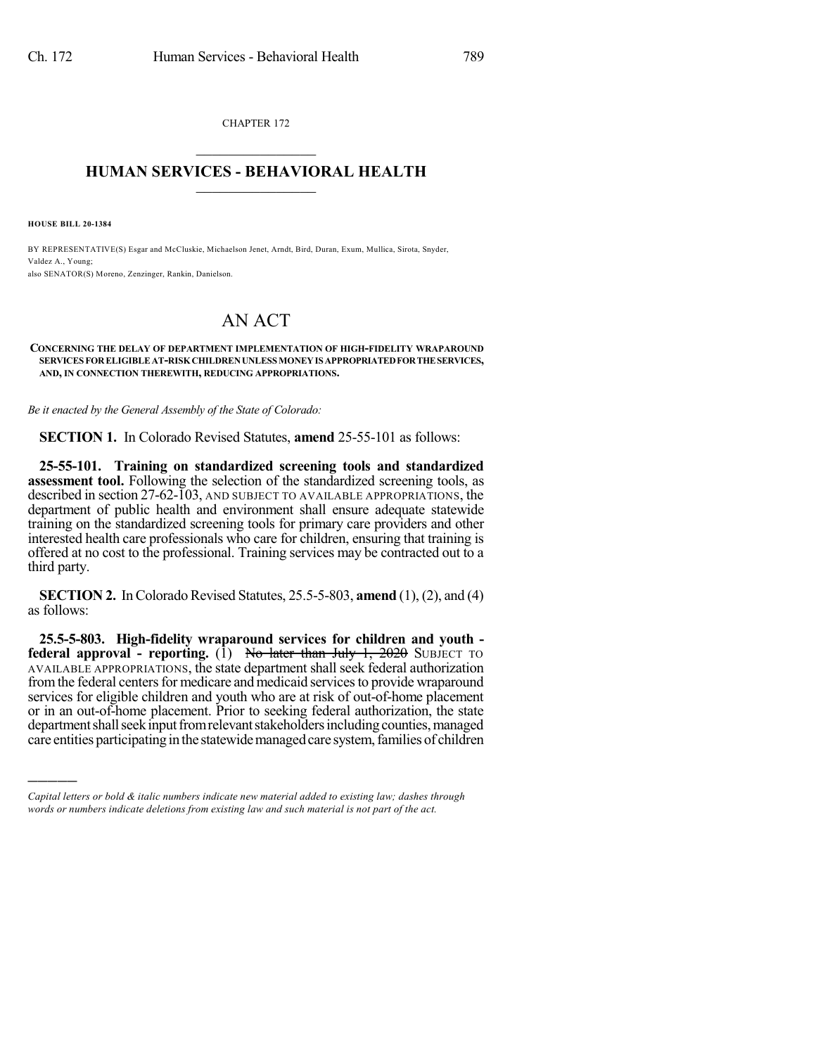CHAPTER 172  $\overline{\phantom{a}}$  . The set of the set of the set of the set of the set of the set of the set of the set of the set of the set of the set of the set of the set of the set of the set of the set of the set of the set of the set o

## **HUMAN SERVICES - BEHAVIORAL HEALTH**  $\frac{1}{2}$  ,  $\frac{1}{2}$  ,  $\frac{1}{2}$  ,  $\frac{1}{2}$  ,  $\frac{1}{2}$  ,  $\frac{1}{2}$  ,  $\frac{1}{2}$

**HOUSE BILL 20-1384**

)))))

BY REPRESENTATIVE(S) Esgar and McCluskie, Michaelson Jenet, Arndt, Bird, Duran, Exum, Mullica, Sirota, Snyder, Valdez A., Young; also SENATOR(S) Moreno, Zenzinger, Rankin, Danielson.

## AN ACT

## **CONCERNING THE DELAY OF DEPARTMENT IMPLEMENTATION OF HIGH-FIDELITY WRAPAROUND SERVICES FORELIGIBLEAT-RISK CHILDRENUNLESS MONEYIS APPROPRIATEDFORTHESERVICES, AND, IN CONNECTION THEREWITH, REDUCING APPROPRIATIONS.**

*Be it enacted by the General Assembly of the State of Colorado:*

**SECTION 1.** In Colorado Revised Statutes, **amend** 25-55-101 as follows:

**25-55-101. Training on standardized screening tools and standardized assessment tool.** Following the selection of the standardized screening tools, as described in section 27-62-103, AND SUBJECT TO AVAILABLE APPROPRIATIONS, the department of public health and environment shall ensure adequate statewide training on the standardized screening tools for primary care providers and other interested health care professionals who care for children, ensuring that training is offered at no cost to the professional. Training services may be contracted out to a third party.

**SECTION 2.** In Colorado Revised Statutes, 25.5-5-803, **amend** (1), (2), and (4) as follows:

**25.5-5-803. High-fidelity wraparound services for children and youth federal approval - reporting.** (1) No later than July 1, 2020 SUBJECT TO AVAILABLE APPROPRIATIONS, the state department shall seek federal authorization from the federal centers for medicare and medicaid services to provide wraparound services for eligible children and youth who are at risk of out-of-home placement or in an out-of-home placement. Prior to seeking federal authorization, the state department shall seek input from relevant stakeholders including counties, managed care entities participating in the statewide managed care system, families of children

*Capital letters or bold & italic numbers indicate new material added to existing law; dashes through words or numbers indicate deletions from existing law and such material is not part of the act.*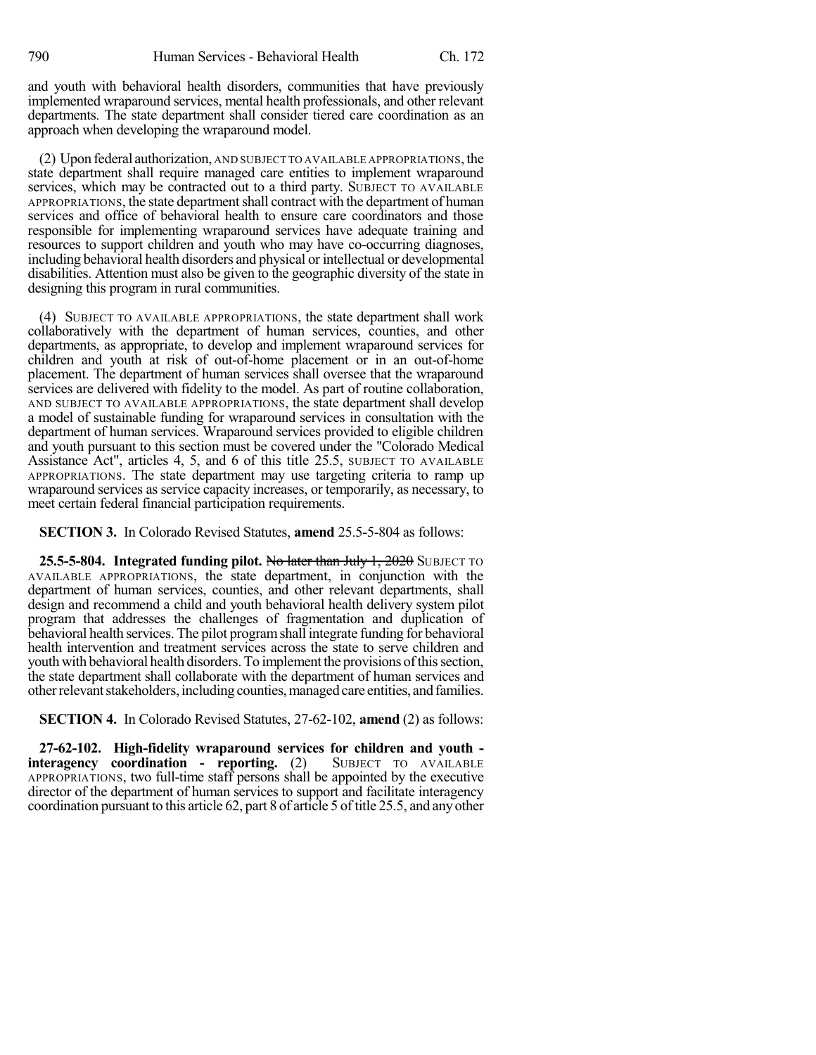and youth with behavioral health disorders, communities that have previously implemented wraparound services, mental health professionals, and other relevant departments. The state department shall consider tiered care coordination as an approach when developing the wraparound model.

(2) Upon federal authorization, AND SUBJECT TO AVAILABLE APPROPRIATIONS, the state department shall require managed care entities to implement wraparound services, which may be contracted out to a third party. SUBJECT TO AVAILABLE APPROPRIATIONS, the state department shall contract with the department of human services and office of behavioral health to ensure care coordinators and those responsible for implementing wraparound services have adequate training and resources to support children and youth who may have co-occurring diagnoses, including behavioral health disorders and physical or intellectual or developmental disabilities. Attention must also be given to the geographic diversity of the state in designing this program in rural communities.

(4) SUBJECT TO AVAILABLE APPROPRIATIONS, the state department shall work collaboratively with the department of human services, counties, and other departments, as appropriate, to develop and implement wraparound services for children and youth at risk of out-of-home placement or in an out-of-home placement. The department of human services shall oversee that the wraparound services are delivered with fidelity to the model. As part of routine collaboration, AND SUBJECT TO AVAILABLE APPROPRIATIONS, the state department shall develop a model of sustainable funding for wraparound services in consultation with the department of human services. Wraparound services provided to eligible children and youth pursuant to this section must be covered under the "Colorado Medical Assistance Act", articles 4, 5, and 6 of this title 25.5, SUBJECT TO AVAILABLE APPROPRIATIONS. The state department may use targeting criteria to ramp up wraparound services as service capacity increases, or temporarily, as necessary, to meet certain federal financial participation requirements.

**SECTION 3.** In Colorado Revised Statutes, **amend** 25.5-5-804 as follows:

**25.5-5-804. Integrated funding pilot. No later than July 1, 2020 SUBJECT TO** AVAILABLE APPROPRIATIONS, the state department, in conjunction with the department of human services, counties, and other relevant departments, shall design and recommend a child and youth behavioral health delivery system pilot program that addresses the challenges of fragmentation and duplication of behavioral health services. The pilot programshall integrate funding for behavioral health intervention and treatment services across the state to serve children and youth with behavioral health disorders. To implement the provisions of this section, the state department shall collaborate with the department of human services and other relevant stakeholders, including counties, managed care entities, and families.

**SECTION 4.** In Colorado Revised Statutes, 27-62-102, **amend** (2) as follows:

**27-62-102. High-fidelity wraparound services for children and youth interagency coordination - reporting.** (2) APPROPRIATIONS, two full-time staff persons shall be appointed by the executive director of the department of human services to support and facilitate interagency coordination pursuant to this article 62, part 8 of article 5 of title 25.5, and any other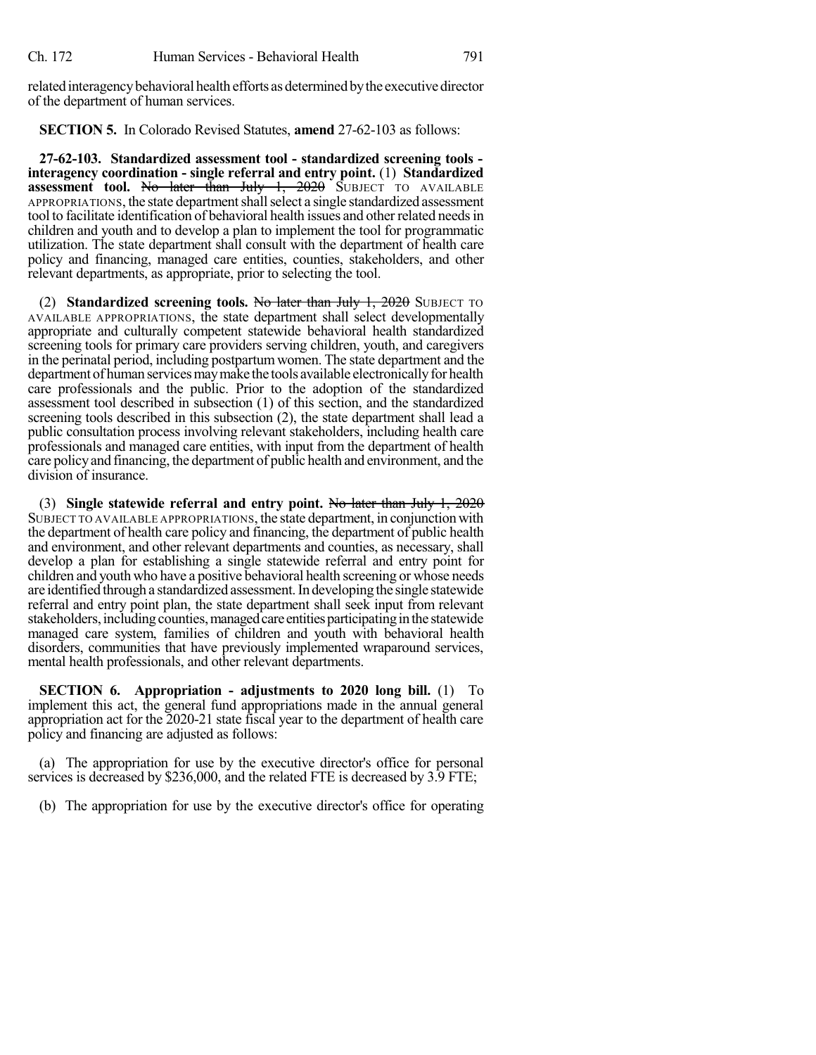related interagency behavioral health efforts as determined by the executive director of the department of human services.

**SECTION 5.** In Colorado Revised Statutes, **amend** 27-62-103 as follows:

**27-62-103. Standardized assessment tool - standardized screening tools interagency coordination - single referral and entry point.** (1) **Standardized assessment tool.** No later than July 1, 2020 SUBJECT TO AVAILABLE APPROPRIATIONS, the state department shall select a single standardized assessment tool to facilitate identification of behavioral health issues and other related needs in children and youth and to develop a plan to implement the tool for programmatic utilization. The state department shall consult with the department of health care policy and financing, managed care entities, counties, stakeholders, and other relevant departments, as appropriate, prior to selecting the tool.

(2) **Standardized screening tools.** No later than July 1, 2020 SUBJECT TO AVAILABLE APPROPRIATIONS, the state department shall select developmentally appropriate and culturally competent statewide behavioral health standardized screening tools for primary care providers serving children, youth, and caregivers in the perinatal period, including postpartumwomen. The state department and the department of human services may make the tools available electronically for health care professionals and the public. Prior to the adoption of the standardized assessment tool described in subsection (1) of this section, and the standardized screening tools described in this subsection (2), the state department shall lead a public consultation process involving relevant stakeholders, including health care professionals and managed care entities, with input from the department of health care policyand financing, the department of public health and environment, and the division of insurance.

(3) **Single statewide referral and entry point.** No later than July 1, 2020 SUBJECT TO AVAILABLE APPROPRIATIONS, the state department, in conjunction with the department of health care policy and financing, the department of public health and environment, and other relevant departments and counties, as necessary, shall develop a plan for establishing a single statewide referral and entry point for children and youth who have a positive behavioral health screening or whose needs are identified through a standardized assessment.In developing the single statewide referral and entry point plan, the state department shall seek input from relevant stakeholders, including counties, managed care entities participating in the statewide managed care system, families of children and youth with behavioral health disorders, communities that have previously implemented wraparound services, mental health professionals, and other relevant departments.

**SECTION 6. Appropriation - adjustments to 2020 long bill.** (1) To implement this act, the general fund appropriations made in the annual general appropriation act for the 2020-21 state fiscal year to the department of health care policy and financing are adjusted as follows:

(a) The appropriation for use by the executive director's office for personal services is decreased by \$236,000, and the related FTE is decreased by 3.9 FTE;

(b) The appropriation for use by the executive director's office for operating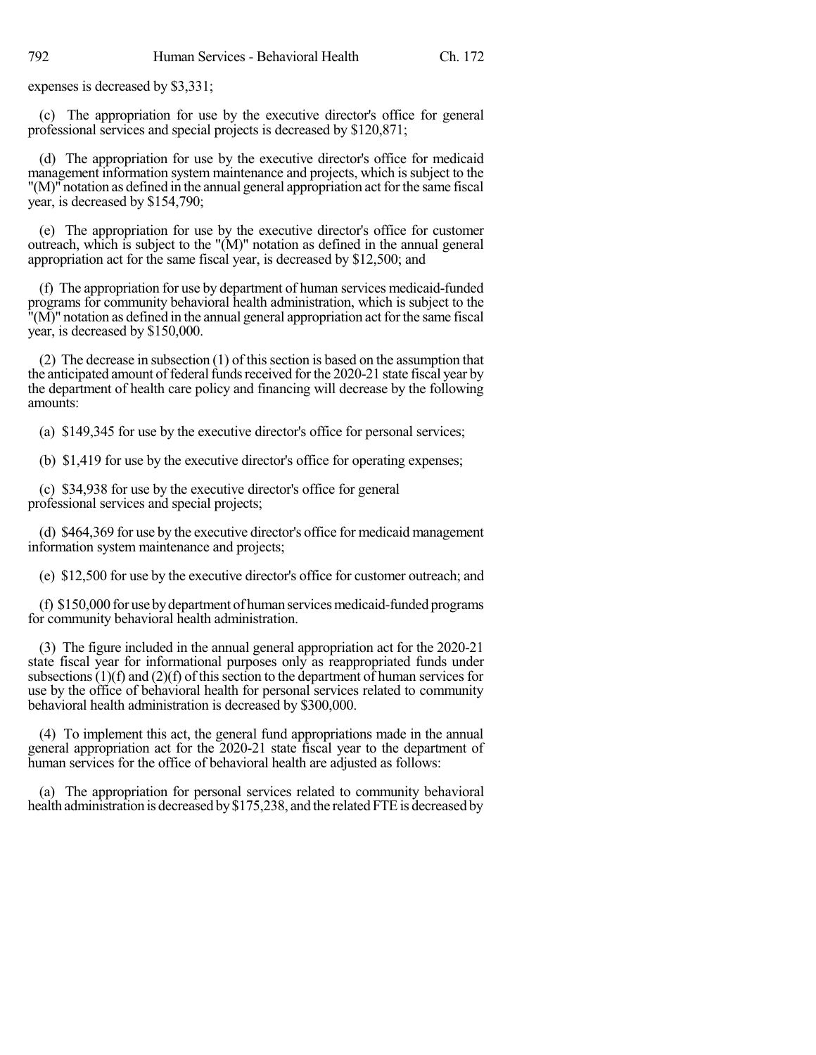expenses is decreased by \$3,331;

(c) The appropriation for use by the executive director's office for general professional services and special projects is decreased by \$120,871;

(d) The appropriation for use by the executive director's office for medicaid management information system maintenance and projects, which is subject to the "(M)" notation as defined in the annual general appropriation act forthe same fiscal year, is decreased by \$154,790;

(e) The appropriation for use by the executive director's office for customer outreach, which is subject to the "(M)" notation as defined in the annual general appropriation act for the same fiscal year, is decreased by \$12,500; and

(f) The appropriation for use by department of human services medicaid-funded programs for community behavioral health administration, which is subject to the  $\mathbf{N}(\mathbf{M})$ " notation as defined in the annual general appropriation act for the same fiscal year, is decreased by \$150,000.

(2) The decrease in subsection  $(1)$  of this section is based on the assumption that the anticipated amount of federal funds received for the 2020-21 state fiscal year by the department of health care policy and financing will decrease by the following amounts:

(a) \$149,345 for use by the executive director's office for personal services;

(b) \$1,419 for use by the executive director's office for operating expenses;

(c) \$34,938 for use by the executive director's office for general professional services and special projects;

(d) \$464,369 for use by the executive director's office for medicaid management information system maintenance and projects;

(e) \$12,500 for use by the executive director's office for customer outreach; and

(f) \$150,000 for use bydepartment of human servicesmedicaid-funded programs for community behavioral health administration.

(3) The figure included in the annual general appropriation act for the 2020-21 state fiscal year for informational purposes only as reappropriated funds under subsections  $(1)(f)$  and  $(2)(f)$  of this section to the department of human services for use by the office of behavioral health for personal services related to community behavioral health administration is decreased by \$300,000.

(4) To implement this act, the general fund appropriations made in the annual general appropriation act for the 2020-21 state fiscal year to the department of human services for the office of behavioral health are adjusted as follows:

(a) The appropriation for personal services related to community behavioral health administration is decreased by \$175,238, and the related FTE is decreased by